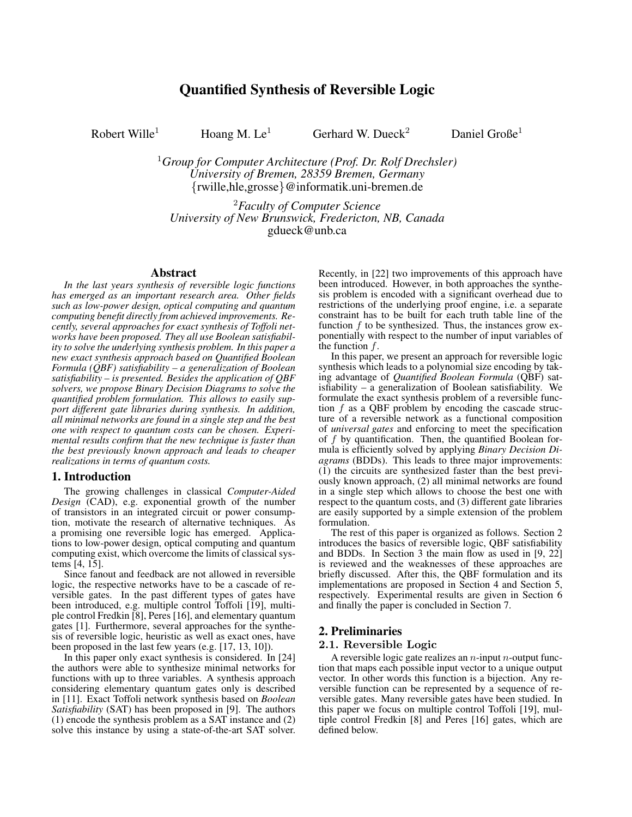# Quantified Synthesis of Reversible Logic

Robert Wille<sup>1</sup> Hoang M. Le<sup>1</sup> Gerhard W. Dueck<sup>2</sup> Daniel Große<sup>1</sup>

<sup>1</sup>*Group for Computer Architecture (Prof. Dr. Rolf Drechsler) University of Bremen, 28359 Bremen, Germany* {rwille,hle,grosse}@informatik.uni-bremen.de

<sup>2</sup>*Faculty of Computer Science University of New Brunswick, Fredericton, NB, Canada* gdueck@unb.ca

# Abstract

*In the last years synthesis of reversible logic functions has emerged as an important research area. Other fields such as low-power design, optical computing and quantum computing benefit directly from achieved improvements. Recently, several approaches for exact synthesis of Toffoli networks have been proposed. They all use Boolean satisfiability to solve the underlying synthesis problem. In this paper a new exact synthesis approach based on Quantified Boolean Formula (QBF) satisfiability – a generalization of Boolean satisfiability – is presented. Besides the application of QBF solvers, we propose Binary Decision Diagrams to solve the quantified problem formulation. This allows to easily support different gate libraries during synthesis. In addition, all minimal networks are found in a single step and the best one with respect to quantum costs can be chosen. Experimental results confirm that the new technique is faster than the best previously known approach and leads to cheaper realizations in terms of quantum costs.*

# 1. Introduction

The growing challenges in classical *Computer-Aided Design* (CAD), e.g. exponential growth of the number of transistors in an integrated circuit or power consumption, motivate the research of alternative techniques. As a promising one reversible logic has emerged. Applications to low-power design, optical computing and quantum computing exist, which overcome the limits of classical systems [4, 15].

Since fanout and feedback are not allowed in reversible logic, the respective networks have to be a cascade of reversible gates. In the past different types of gates have been introduced, e.g. multiple control Toffoli [19], multiple control Fredkin [8], Peres [16], and elementary quantum gates [1]. Furthermore, several approaches for the synthesis of reversible logic, heuristic as well as exact ones, have been proposed in the last few years (e.g. [17, 13, 10]).

In this paper only exact synthesis is considered. In [24] the authors were able to synthesize minimal networks for functions with up to three variables. A synthesis approach considering elementary quantum gates only is described in [11]. Exact Toffoli network synthesis based on *Boolean Satisfiability* (SAT) has been proposed in [9]. The authors (1) encode the synthesis problem as a SAT instance and (2) solve this instance by using a state-of-the-art SAT solver.

Recently, in [22] two improvements of this approach have been introduced. However, in both approaches the synthesis problem is encoded with a significant overhead due to restrictions of the underlying proof engine, i.e. a separate constraint has to be built for each truth table line of the function  $f$  to be synthesized. Thus, the instances grow exponentially with respect to the number of input variables of the function  $f$ .

In this paper, we present an approach for reversible logic synthesis which leads to a polynomial size encoding by taking advantage of *Quantified Boolean Formula* (QBF) satisfiability – a generalization of Boolean satisfiability. We formulate the exact synthesis problem of a reversible function  $f$  as a QBF problem by encoding the cascade structure of a reversible network as a functional composition of *universal gates* and enforcing to meet the specification of  $f$  by quantification. Then, the quantified Boolean formula is efficiently solved by applying *Binary Decision Diagrams* (BDDs). This leads to three major improvements: (1) the circuits are synthesized faster than the best previously known approach, (2) all minimal networks are found in a single step which allows to choose the best one with respect to the quantum costs, and (3) different gate libraries are easily supported by a simple extension of the problem formulation.

The rest of this paper is organized as follows. Section 2 introduces the basics of reversible logic, QBF satisfiability and BDDs. In Section 3 the main flow as used in [9, 22] is reviewed and the weaknesses of these approaches are briefly discussed. After this, the QBF formulation and its implementations are proposed in Section 4 and Section 5, respectively. Experimental results are given in Section 6 and finally the paper is concluded in Section 7.

# 2. Preliminaries

#### 2.1. Reversible Logic

A reversible logic gate realizes an  $n$ -input  $n$ -output function that maps each possible input vector to a unique output vector. In other words this function is a bijection. Any reversible function can be represented by a sequence of reversible gates. Many reversible gates have been studied. In this paper we focus on multiple control Toffoli [19], multiple control Fredkin [8] and Peres [16] gates, which are defined below.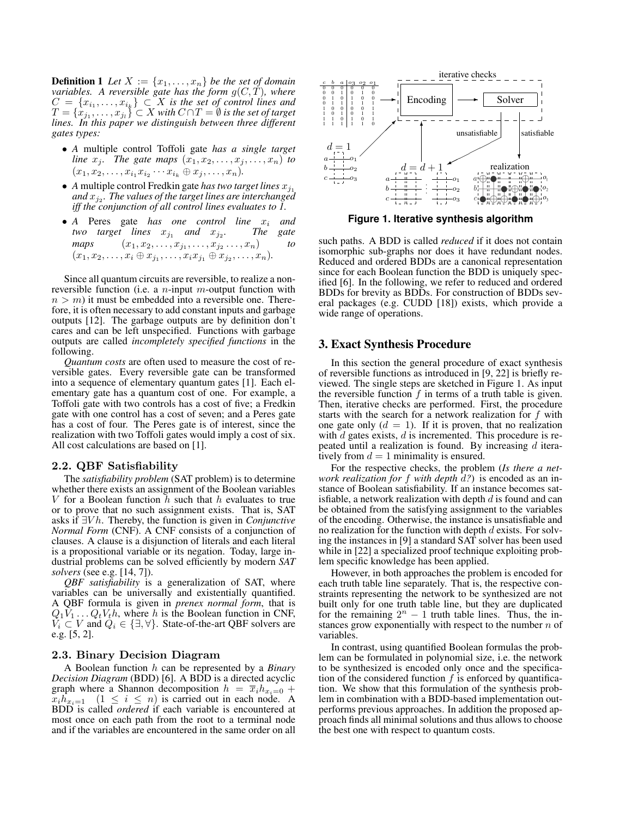**Definition 1** Let  $X := \{x_1, \ldots, x_n\}$  be the set of domain *variables. A reversible gate has the form* g(C, T)*, where*  $C = \{x_{i_1}, \ldots, x_{i_k}\} \subset X$  is the set of control lines and  $T = \{\stackrel{\cdot}{x}_{j_1},\ldots,\stackrel{\cdot}{x}_{j_l}\} \subset X$  with  $C \cap T = \emptyset$  is the set of target *lines. In this paper we distinguish between three different gates types:*

- *A* multiple control Toffoli gate *has a single target line*  $x_j$ . *The gate maps*  $(x_1, x_2, \ldots, x_j, \ldots, x_n)$  *to*  $(x_1, x_2, \ldots, x_{i_1} x_{i_2} \cdots x_{i_k} \oplus x_j, \ldots, x_n).$
- *A* multiple control Fredkin gate *has two target lines*  $x_{j_1}$ and  $x_{j_2}.$  The values of the target lines are interchanged *iff the conjunction of all control lines evaluates to 1.*
- *A* Peres gate *has one control line*  $x_i$  and *two target lines*  $x_{j_1}$  *and*  $x_{j_2}$ *. . The gate*  $maps \qquad (x_1, x_2, \ldots, x_{j_1}, \ldots, x_{j_2} \ldots, x_n) \qquad to$  $(x_1, x_2, \ldots, x_i \oplus x_{j_1}, \ldots, x_i x_{j_1} \oplus x_{j_2}, \ldots, x_n).$

Since all quantum circuits are reversible, to realize a nonreversible function (i.e. a  $n$ -input  $m$ -output function with  $n > m$ ) it must be embedded into a reversible one. Therefore, it is often necessary to add constant inputs and garbage outputs [12]. The garbage outputs are by definition don't cares and can be left unspecified. Functions with garbage outputs are called *incompletely specified functions* in the following.

*Quantum costs* are often used to measure the cost of reversible gates. Every reversible gate can be transformed into a sequence of elementary quantum gates [1]. Each elementary gate has a quantum cost of one. For example, a Toffoli gate with two controls has a cost of five; a Fredkin gate with one control has a cost of seven; and a Peres gate has a cost of four. The Peres gate is of interest, since the realization with two Toffoli gates would imply a cost of six. All cost calculations are based on [1].

#### 2.2. QBF Satisfiability

The *satisfiability problem* (SAT problem) is to determine whether there exists an assignment of the Boolean variables V for a Boolean function  $\bar{h}$  such that h evaluates to true or to prove that no such assignment exists. That is, SAT asks if ∃V h. Thereby, the function is given in *Conjunctive Normal Form* (CNF). A CNF consists of a conjunction of clauses. A clause is a disjunction of literals and each literal is a propositional variable or its negation. Today, large industrial problems can be solved efficiently by modern *SAT solvers* (see e.g. [14, 7]).

*QBF satisfiability* is a generalization of SAT, where variables can be universally and existentially quantified. A QBF formula is given in *prenex normal form*, that is  $Q_1V_1 \ldots Q_tV_th$ , where h is the Boolean function in CNF,  $V_i \subset V$  and  $Q_i \in \{\exists, \forall\}$ . State-of-the-art QBF solvers are e.g. [5, 2].

#### 2.3. Binary Decision Diagram

A Boolean function h can be represented by a *Binary Decision Diagram* (BDD) [6]. A BDD is a directed acyclic graph where a Shannon decomposition  $h = \overline{x}_i h_{x_i=0} +$  $x_i h_{x_i=1}$   $(1 \leq i \leq n)$  is carried out in each node. A BDD is called *ordered* if each variable is encountered at most once on each path from the root to a terminal node and if the variables are encountered in the same order on all



**Figure 1. Iterative synthesis algorithm**

such paths. A BDD is called *reduced* if it does not contain isomorphic sub-graphs nor does it have redundant nodes. Reduced and ordered BDDs are a canonical representation since for each Boolean function the BDD is uniquely specified [6]. In the following, we refer to reduced and ordered BDDs for brevity as BDDs. For construction of BDDs several packages (e.g. CUDD [18]) exists, which provide a wide range of operations.

# 3. Exact Synthesis Procedure

In this section the general procedure of exact synthesis of reversible functions as introduced in [9, 22] is briefly reviewed. The single steps are sketched in Figure 1. As input the reversible function  $f$  in terms of a truth table is given. Then, iterative checks are performed. First, the procedure starts with the search for a network realization for  $f$  with one gate only  $(d = 1)$ . If it is proven, that no realization with  $d$  gates exists,  $d$  is incremented. This procedure is repeated until a realization is found. By increasing  $d$  iteratively from  $d = 1$  minimality is ensured.

For the respective checks, the problem (*Is there a network realization for* f *with depth* d*?*) is encoded as an instance of Boolean satisfiability. If an instance becomes satisfiable, a network realization with depth  $d$  is found and can be obtained from the satisfying assignment to the variables of the encoding. Otherwise, the instance is unsatisfiable and no realization for the function with depth  $d$  exists. For solving the instances in [9] a standard SAT solver has been used while in [22] a specialized proof technique exploiting problem specific knowledge has been applied.

However, in both approaches the problem is encoded for each truth table line separately. That is, the respective constraints representing the network to be synthesized are not built only for one truth table line, but they are duplicated for the remaining  $2^n - 1$  truth table lines. Thus, the instances grow exponentially with respect to the number  $n$  of variables.

In contrast, using quantified Boolean formulas the problem can be formulated in polynomial size, i.e. the network to be synthesized is encoded only once and the specification of the considered function  $f$  is enforced by quantification. We show that this formulation of the synthesis problem in combination with a BDD-based implementation outperforms previous approaches. In addition the proposed approach finds all minimal solutions and thus allows to choose the best one with respect to quantum costs.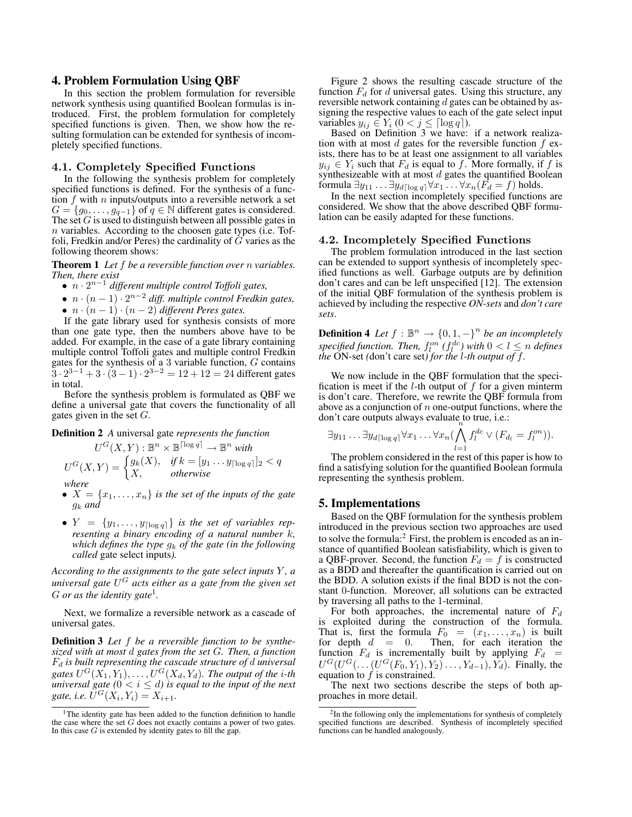# 4. Problem Formulation Using QBF

In this section the problem formulation for reversible network synthesis using quantified Boolean formulas is introduced. First, the problem formulation for completely specified functions is given. Then, we show how the resulting formulation can be extended for synthesis of incompletely specified functions.

#### 4.1. Completely Specified Functions

In the following the synthesis problem for completely specified functions is defined. For the synthesis of a function  $f$  with  $n$  inputs/outputs into a reversible network a set  $G = \{g_0, \ldots, g_{q-1}\}\$  of  $q \in \mathbb{N}$  different gates is considered. The set  $G$  is used to distinguish between all possible gates in n variables. According to the choosen gate types (i.e. Toffoli, Fredkin and/or Peres) the cardinality of G varies as the following theorem shows:

Theorem 1 *Let* f *be a reversible function over* n *variables. Then, there exist*

- n · 2 <sup>n</sup>−<sup>1</sup> *different multiple control Toffoli gates,*
- $n \cdot (n-1) \cdot 2^{n-2}$  *diff. multiple control Fredkin gates,*
- $n \cdot (n-1) \cdot (n-2)$  *different Peres gates.*

If the gate library used for synthesis consists of more than one gate type, then the numbers above have to be added. For example, in the case of a gate library containing multiple control Toffoli gates and multiple control Fredkin gates for the synthesis of a 3 variable function,  $G$  contains  $3 \cdot 2^{3-1} + 3 \cdot (3-1) \cdot 2^{3-2} = 12 + 12 = 24$  different gates in total.

Before the synthesis problem is formulated as QBF we define a universal gate that covers the functionality of all gates given in the set  $G$ .

Definition 2 *A* universal gate *represents the function*

$$
U^G(X, Y) : \mathbb{B}^n \times \mathbb{B}^{\lceil \log q \rceil} \to \mathbb{B}^n \text{ with}
$$

$$
U^G(X, Y) = \begin{cases} g_k(X), & \text{if } k = [y_1 \dots y_{\lceil \log q \rceil}]_2 < q \\ X, & \text{otherwise} \end{cases}
$$

*where*

- $X = \{x_1, \ldots, x_n\}$  *is the set of the inputs of the gate*  $g_k$  and
- $Y = \{y_1, \ldots, y_{\lceil \log q \rceil}\}\$ is the set of variables rep*resenting a binary encoding of a natural number* k*, which defines the type*  $g_k$  *of the gate (in the following called* gate select inputs*).*

*According to the assignments to the gate select inputs* Y *, a universal gate* U <sup>G</sup> *acts either as a gate from the given set* G *or as the identity gate*<sup>1</sup> *.*

Next, we formalize a reversible network as a cascade of universal gates.

Definition 3 *Let* f *be a reversible function to be synthesized with at most* d *gates from the set* G*. Then, a function* F<sup>d</sup> *is built representing the cascade structure of* d *universal* gates  $U^G(X_1, Y_1), \ldots, U^G(X_d, Y_d)$ . The output of the i-th *universal gate*  $(0 < i \le d)$  *is equal to the input of the next gate, i.e.*  $U^G(X_i, Y_i) = X_{i+1}$ .

Figure 2 shows the resulting cascade structure of the function  $F_d$  for d universal gates. Using this structure, any reversible network containing  $d$  gates can be obtained by assigning the respective values to each of the gate select input variables  $y_{ij} \in Y_i$   $(0 < j \leq \lceil \log q \rceil)$ .

Based on Definition 3 we have: if a network realization with at most  $d$  gates for the reversible function  $f$  exists, there has to be at least one assignment to all variables  $y_{ij} \in Y_i$  such that  $F_d$  is equal to f. More formally, if f is synthesizeable with at most  $d$  gates the quantified Boolean formula  $\exists y_{11} \ldots \exists y_{d\lceil \log q \rceil} \forall x_1 \ldots \forall x_n (F_d = f)$  holds.

In the next section incompletely specified functions are considered. We show that the above described QBF formulation can be easily adapted for these functions.

#### 4.2. Incompletely Specified Functions

The problem formulation introduced in the last section can be extended to support synthesis of incompletely specified functions as well. Garbage outputs are by definition don't cares and can be left unspecified [12]. The extension of the initial QBF formulation of the synthesis problem is achieved by including the respective *ON-sets* and *don't care sets*.

**Definition 4** Let  $f : \mathbb{B}^n \to \{0, 1, -\}^n$  be an incompletely specified function. Then,  $f_l^{on}$  ( $f_l^{dc}$ ) with  $0 < l \leq n$  defines *the* ON-set *(*don't care set*) for the* l*-th output of* f*.*

We now include in the QBF formulation that the specification is meet if the  $l$ -th output of  $f$  for a given minterm is don't care. Therefore, we rewrite the QBF formula from above as a conjunction of  $n$  one-output functions, where the

don't care outputs always evaluate to true, i.e.:  
\n
$$
\exists y_{11} \ldots \exists y_{d\lceil \log q \rceil} \forall x_1 \ldots \forall x_n (\bigwedge_{l=1}^{n} f_l^{dc} \vee (F_{d_l} = f_l^{on})).
$$

The problem considered in the rest of this paper is how to find a satisfying solution for the quantified Boolean formula representing the synthesis problem.

# 5. Implementations

Based on the QBF formulation for the synthesis problem introduced in the previous section two approaches are used to solve the formula:<sup>2</sup> First, the problem is encoded as an instance of quantified Boolean satisfiability, which is given to a QBF-prover. Second, the function  $F_d = f$  is constructed as a BDD and thereafter the quantification is carried out on the BDD. A solution exists if the final BDD is not the constant 0-function. Moreover, all solutions can be extracted by traversing all paths to the 1-terminal.

For both approaches, the incremental nature of  $F_d$ is exploited during the construction of the formula. That is, first the formula  $F_0 = (x_1, \ldots, x_n)$  is built for depth  $d = 0$ . Then, for each iteration the function  $F_d$  is incrementally built by applying  $F_d$  =  $U^{G}(U^{G}(\ldots (U^{G}(F_0,Y_1),Y_2) \ldots, Y_{d-1}), Y_d)$ . Finally, the equation to  $f$  is constrained.

The next two sections describe the steps of both approaches in more detail.

<sup>&</sup>lt;sup>1</sup>The identity gate has been added to the function definition to handle the case where the set  $G$  does not exactly contains a power of two gates. In this case  $G$  is extended by identity gates to fill the gap.

<sup>2</sup> In the following only the implementations for synthesis of completely specified functions are described. Synthesis of incompletely specified functions can be handled analogously.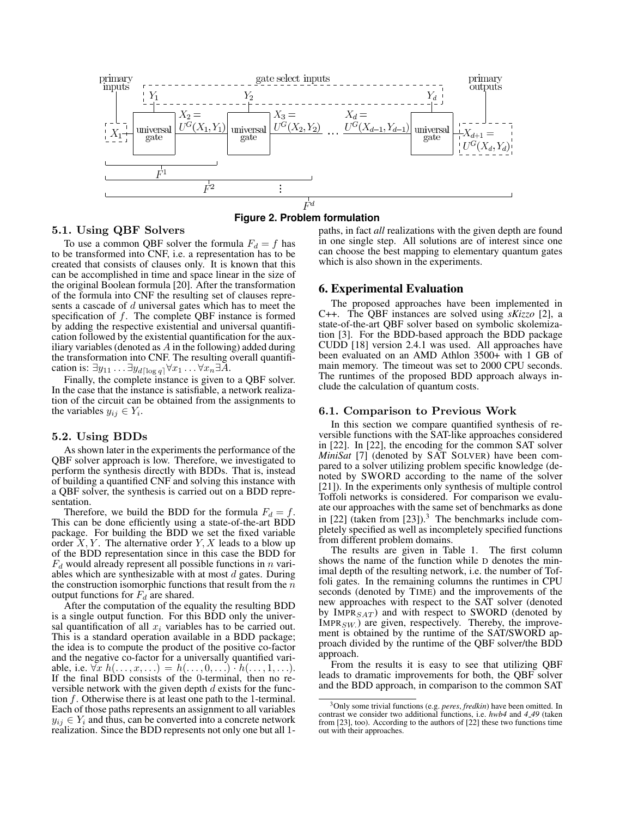

**Figure 2. Problem formulation**

#### 5.1. Using QBF Solvers

To use a common QBF solver the formula  $F_d = f$  has to be transformed into CNF, i.e. a representation has to be created that consists of clauses only. It is known that this can be accomplished in time and space linear in the size of the original Boolean formula [20]. After the transformation of the formula into CNF the resulting set of clauses represents a cascade of d universal gates which has to meet the specification of  $f$ . The complete QBF instance is formed by adding the respective existential and universal quantification followed by the existential quantification for the auxiliary variables (denoted as  $A$  in the following) added during the transformation into CNF. The resulting overall quantification is:  $\exists y_{11} \ldots \exists y_{d\lceil \log q \rceil} \forall x_1 \ldots \forall x_n \exists \bar{A}.$ 

Finally, the complete instance is given to a QBF solver. In the case that the instance is satisfiable, a network realization of the circuit can be obtained from the assignments to the variables  $y_{ij} \in Y_i$ .

#### 5.2. Using BDDs

As shown later in the experiments the performance of the QBF solver approach is low. Therefore, we investigated to perform the synthesis directly with BDDs. That is, instead of building a quantified CNF and solving this instance with a QBF solver, the synthesis is carried out on a BDD representation.

Therefore, we build the BDD for the formula  $F_d = f$ . This can be done efficiently using a state-of-the-art BDD package. For building the BDD we set the fixed variable order  $X, Y$ . The alternative order  $Y, X$  leads to a blow up of the BDD representation since in this case the BDD for  $F_d$  would already represent all possible functions in n variables which are synthesizable with at most  $d$  gates. During the construction isomorphic functions that result from the  $n$ output functions for  $F_d$  are shared.

After the computation of the equality the resulting BDD is a single output function. For this BDD only the universal quantification of all  $x_i$  variables has to be carried out. This is a standard operation available in a BDD package; the idea is to compute the product of the positive co-factor and the negative co-factor for a universally quantified variable, i.e.  $\forall x \ h(..., x, ...) = h(..., 0, ...) \cdot h(..., 1, ...).$ If the final BDD consists of the 0-terminal, then no reversible network with the given depth  $d$  exists for the function f. Otherwise there is at least one path to the 1-terminal. Each of those paths represents an assignment to all variables  $y_{ij} \in Y_i$  and thus, can be converted into a concrete network realization. Since the BDD represents not only one but all 1paths, in fact *all* realizations with the given depth are found in one single step. All solutions are of interest since one can choose the best mapping to elementary quantum gates which is also shown in the experiments.

# 6. Experimental Evaluation

The proposed approaches have been implemented in C++. The QBF instances are solved using *sKizzo* [2], a state-of-the-art QBF solver based on symbolic skolemization [3]. For the BDD-based approach the BDD package CUDD [18] version 2.4.1 was used. All approaches have been evaluated on an AMD Athlon 3500+ with 1 GB of main memory. The timeout was set to 2000 CPU seconds. The runtimes of the proposed BDD approach always include the calculation of quantum costs.

#### 6.1. Comparison to Previous Work

In this section we compare quantified synthesis of reversible functions with the SAT-like approaches considered in [22]. In [22], the encoding for the common SAT solver *MiniSat* [7] (denoted by SAT SOLVER) have been compared to a solver utilizing problem specific knowledge (denoted by SWORD according to the name of the solver [21]). In the experiments only synthesis of multiple control Toffoli networks is considered. For comparison we evaluate our approaches with the same set of benchmarks as done in  $[22]$  (taken from  $[23]$ ).<sup>3</sup> The benchmarks include completely specified as well as incompletely specified functions from different problem domains.

The results are given in Table 1. The first column shows the name of the function while D denotes the minimal depth of the resulting network, i.e. the number of Toffoli gates. In the remaining columns the runtimes in CPU seconds (denoted by TIME) and the improvements of the new approaches with respect to the SAT solver (denoted by  $IMPR_{SAT}$ ) and with respect to SWORD (denoted by  $IMPR<sub>SW</sub>$ ) are given, respectively. Thereby, the improvement is obtained by the runtime of the SAT/SWORD approach divided by the runtime of the QBF solver/the BDD approach.

From the results it is easy to see that utilizing QBF leads to dramatic improvements for both, the QBF solver and the BDD approach, in comparison to the common SAT

<sup>3</sup>Only some trivial functions (e.g. *peres*, *fredkin*) have been omitted. In contrast we consider two additional functions, i.e. *hwb4* and *4 49* (taken from [23], too). According to the authors of [22] these two functions time out with their approaches.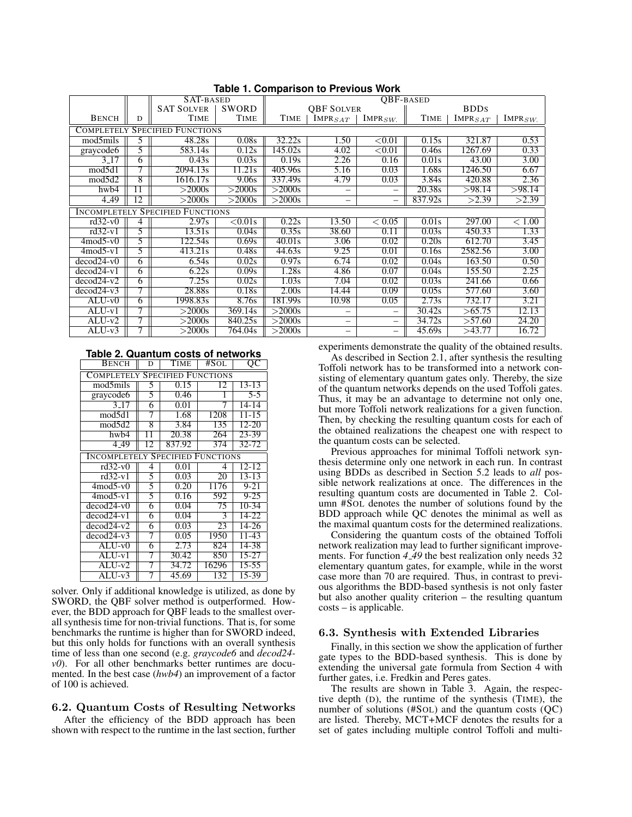|                                         |                | SAT-BASED         |             | <b>QBF-BASED</b>  |                 |                          |             |                     |              |  |  |
|-----------------------------------------|----------------|-------------------|-------------|-------------------|-----------------|--------------------------|-------------|---------------------|--------------|--|--|
|                                         |                | <b>SAT SOLVER</b> | SWORD       | <b>OBF SOLVER</b> |                 |                          | <b>BDDs</b> |                     |              |  |  |
| <b>BENCH</b>                            | D              | <b>TIME</b>       | <b>TIME</b> | <b>TIME</b>       | $IMPR_{SAT}$    | $IMPR_{SW.}$             | <b>TIME</b> | IMPR <sub>SAT</sub> | $IMPR_{SW.}$ |  |  |
| <b>COMPLETELY SPECIFIED FUNCTIONS</b>   |                |                   |             |                   |                 |                          |             |                     |              |  |  |
| mod5mils                                | 5              | 48.28s            | 0.08s       | 32.22s            | 1.50            | ${<}0.01$                | 0.15s       | 321.87              | 0.53         |  |  |
| graycode6                               | 5              | 583.14s           | 0.12s       | 145.02s           | 4.02            | < 0.01                   | 0.46s       | 1267.69             | 0.33         |  |  |
| $3-17$                                  | 6              | 0.43s             | 0.03s       | 0.19s             | 2.26            | 0.16                     | 0.01s       | 43.00               | 3.00         |  |  |
| mod5d1                                  |                | 2094.13s          | 11.21s      | 405.96s           | 5.16            | 0.03                     | 1.68s       | 1246.50             | 6.67         |  |  |
| mod <sub>5</sub> d <sub>2</sub>         | $\overline{8}$ | 1616.17s          | 9.06s       | 337.49s           | 4.79            | 0.03                     | 3.84s       | 420.88              | 2.36         |  |  |
| hwb4                                    | 11             | >2000s            | >2000s      | >2000s            |                 | $\overline{\phantom{0}}$ | 20.38s      | >98.14              | >98.14       |  |  |
| 4.49                                    | 12             | >2000s            | >2000s      | >2000s            | $\qquad \qquad$ | $\qquad \qquad -$        | 837.92s     | >2.39               | >2.39        |  |  |
| <b>INCOMPLETELY SPECIFIED FUNCTIONS</b> |                |                   |             |                   |                 |                          |             |                     |              |  |  |
| $rd32-v0$                               | 4              | 2.97s             | $< 0.01$ s  | 0.22s             | 13.50           | < 0.05                   | 0.01s       | 297.00              | < 1.00       |  |  |
| $rd32-v1$                               | 5              | 13.51s            | 0.04s       | 0.35s             | 38.60           | 0.11                     | 0.03s       | 450.33              | 1.33         |  |  |
| $4 \text{mod} 5 - v0$                   | 5              | 122.54s           | 0.69s       | 40.01s            | 3.06            | 0.02                     | 0.20s       | 612.70              | 3.45         |  |  |
| $4 \text{mod} 5 - v1$                   | 5              | 413.21s           | 0.48s       | 44.63s            | 9.25            | 0.01                     | 0.16s       | 2582.56             | 3.00         |  |  |
| $decod24-v0$                            | 6              | 6.54s             | 0.02s       | 0.97s             | 6.74            | 0.02                     | 0.04s       | 163.50              | 0.50         |  |  |
| $decod24-v1$                            | 6              | 6.22s             | 0.09s       | 1.28s             | 4.86            | 0.07                     | 0.04s       | 155.50              | 2.25         |  |  |
| $decod24-v2$                            | 6              | 7.25s             | 0.02s       | 1.03s             | 7.04            | 0.02                     | 0.03s       | 241.66              | 0.66         |  |  |
| $decod24-v3$                            | 7              | 28.88s            | 0.18s       | 2.00s             | 14.44           | 0.09                     | 0.05s       | 577.60              | 3.60         |  |  |
| $ALU-v0$                                | 6              | 1998.83s          | 8.76s       | 181.99s           | 10.98           | 0.05                     | 2.73s       | 732.17              | 3.21         |  |  |
| $ALU-v1$                                | 7              | >2000s            | 369.14s     | >2000s            |                 | $\overline{\phantom{0}}$ | 30.42s      | >65.75              | 12.13        |  |  |
| $ALU-v2$                                | 7              | >2000s            | 840.25s     | >2000s            | $\qquad \qquad$ | $\overline{\phantom{0}}$ | 34.72s      | >57.60              | 24.20        |  |  |
| $ALU-v3$                                |                | >2000s            | 764.04s     | >2000s            | $\qquad \qquad$ | $\overline{\phantom{0}}$ | 45.69s      | >43.77              | 16.72        |  |  |

**Table 1. Comparison to Previous Work** 

Table 2. Quantum costs of networks

| <b>BENCH</b>                            | D               | <b>TIME</b> | #SOL  | QC        |  |  |  |  |  |  |
|-----------------------------------------|-----------------|-------------|-------|-----------|--|--|--|--|--|--|
| <b>COMPLETELY SPECIFIED FUNCTIONS</b>   |                 |             |       |           |  |  |  |  |  |  |
| mod5mils                                | 5               | 0.15        | 12    | $13 - 13$ |  |  |  |  |  |  |
| gravcode6                               | 5               | 0.46        |       | $5 - 5$   |  |  |  |  |  |  |
| $3-17$                                  | 6               | 0.01        | 7     | $14 - 14$ |  |  |  |  |  |  |
| mod5d1                                  | 7               | 1.68        | 1208  | $11-15$   |  |  |  |  |  |  |
| mod5d2                                  | $\overline{8}$  | 3.84        | 135   | $12 - 20$ |  |  |  |  |  |  |
| hwb4                                    | $\overline{11}$ | 20.38       | 264   | 23-39     |  |  |  |  |  |  |
| 4 4 9                                   | 12              | 837.92      | 374   | $32 - 72$ |  |  |  |  |  |  |
| <b>INCOMPLETELY SPECIFIED FUNCTIONS</b> |                 |             |       |           |  |  |  |  |  |  |
| $rd32-v0$                               | 4               | 0.01        | 4     | 12-12     |  |  |  |  |  |  |
| $rd32-v1$                               | 5               | 0.03        | 20    | $13-13$   |  |  |  |  |  |  |
| $4 \text{mod} 5 - v0$                   | 5               | 0.20        | 1176  | $9 - 21$  |  |  |  |  |  |  |
| $4 \text{mod} 5 - v1$                   | 5               | 0.16        | 592   | $9 - 25$  |  |  |  |  |  |  |
| $decod24-v0$                            | 6               | 0.04        | 75    | $10-34$   |  |  |  |  |  |  |
| $decod24-v1$                            | 6               | 0.04        | 3     | $14 - 22$ |  |  |  |  |  |  |
| $decod24-v2$                            | 6               | 0.03        | 23    | $14 - 26$ |  |  |  |  |  |  |
| $decod24-v3$                            | 7               | 0.05        | 1950  | $11-43$   |  |  |  |  |  |  |
| $ALU-v0$                                | 6               | 2.73        | 824   | $14 - 38$ |  |  |  |  |  |  |
| $ALU-v1$                                | 7               | 30.42       | 850   | $15 - 27$ |  |  |  |  |  |  |
| ALU-v2                                  | 7               | 34.72       | 16296 | $15-55$   |  |  |  |  |  |  |
| $ALU-v3$                                |                 | 45.69       | 132   | 15-39     |  |  |  |  |  |  |

solver. Only if additional knowledge is utilized, as done by SWORD, the QBF solver method is outperformed. However, the BDD approach for QBF leads to the smallest overall synthesis time for non-trivial functions. That is, for some benchmarks the runtime is higher than for SWORD indeed, but this only holds for functions with an overall synthesis time of less than one second (e.g. *graycode6* and *decod24* $v0$ ). For all other benchmarks better runtimes are documented. In the best case  $(hwb4)$  an improvement of a factor of 100 is achieved.

#### 6.2. Quantum Costs of Resulting Networks

After the efficiency of the BDD approach has been shown with respect to the runtime in the last section, further experiments demonstrate the quality of the obtained results.

As described in Section 2.1, after synthesis the resulting Toffoli network has to be transformed into a network consisting of elementary quantum gates only. Thereby, the size of the quantum networks depends on the used Toffoli gates. Thus, it may be an advantage to determine not only one, but more Toffoli network realizations for a given function. Then, by checking the resulting quantum costs for each of the obtained realizations the cheapest one with respect to the quantum costs can be selected.

Previous approaches for minimal Toffoli network synthesis determine only one network in each run. In contrast using BDDs as described in Section 5.2 leads to *all* possible network realizations at once. The differences in the resulting quantum costs are documented in Table 2. Column #SOL denotes the number of solutions found by the BDD approach while QC denotes the minimal as well as the maximal quantum costs for the determined realizations.

Considering the quantum costs of the obtained Toffoli network realization may lead to further significant improvements. For function 4.49 the best realization only needs 32 elementary quantum gates, for example, while in the worst case more than 70 are required. Thus, in contrast to previous algorithms the BDD-based synthesis is not only faster but also another quality criterion – the resulting quantum  $costs - is applicable.$ 

# 6.3. Synthesis with Extended Libraries

Finally, in this section we show the application of further gate types to the BDD-based synthesis. This is done by extending the universal gate formula from Section 4 with further gates, *i.e.* Fredkin and Peres gates.

The results are shown in Table 3. Again, the respective depth (D), the runtime of the synthesis (TIME), the number of solutions (#SOL) and the quantum costs  $(QC)$ are listed. Thereby, MCT+MCF denotes the results for a set of gates including multiple control Toffoli and multi-